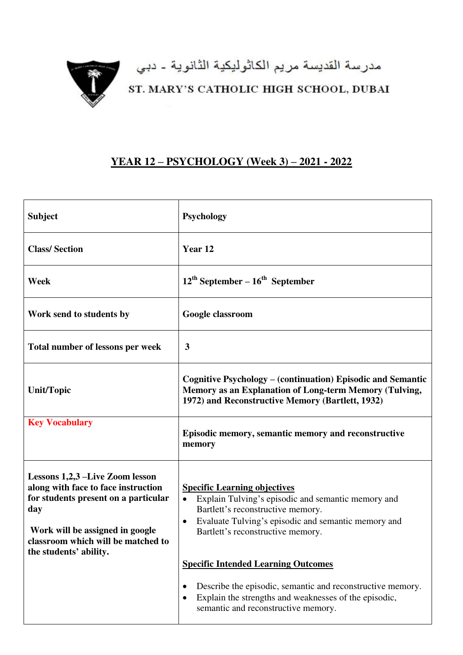

مدرسة القديسة مريم الكاثوليكية الثانوية ـ دبي<br>ST. MARY'S CATHOLIC HIGH SCHOOL, DUBAI

## **YEAR 12 – PSYCHOLOGY (Week 3) – 2021 - 2022**

| <b>Subject</b>                                                                                                                                                                                                           | <b>Psychology</b>                                                                                                                                                                                                                                                                                                                                                |
|--------------------------------------------------------------------------------------------------------------------------------------------------------------------------------------------------------------------------|------------------------------------------------------------------------------------------------------------------------------------------------------------------------------------------------------------------------------------------------------------------------------------------------------------------------------------------------------------------|
| <b>Class/Section</b>                                                                                                                                                                                                     | Year <sub>12</sub>                                                                                                                                                                                                                                                                                                                                               |
| Week                                                                                                                                                                                                                     | $12^{\text{th}}$ September – $16^{\text{th}}$ September                                                                                                                                                                                                                                                                                                          |
| Work send to students by                                                                                                                                                                                                 | Google classroom                                                                                                                                                                                                                                                                                                                                                 |
| Total number of lessons per week                                                                                                                                                                                         | 3                                                                                                                                                                                                                                                                                                                                                                |
| <b>Unit/Topic</b>                                                                                                                                                                                                        | Cognitive Psychology – (continuation) Episodic and Semantic<br>Memory as an Explanation of Long-term Memory (Tulving,<br>1972) and Reconstructive Memory (Bartlett, 1932)                                                                                                                                                                                        |
| <b>Key Vocabulary</b>                                                                                                                                                                                                    | Episodic memory, semantic memory and reconstructive<br>memory                                                                                                                                                                                                                                                                                                    |
| Lessons 1,2,3 –Live Zoom lesson<br>along with face to face instruction<br>for students present on a particular<br>day<br>Work will be assigned in google<br>classroom which will be matched to<br>the students' ability. | <b>Specific Learning objectives</b><br>Explain Tulving's episodic and semantic memory and<br>Bartlett's reconstructive memory.<br>Evaluate Tulving's episodic and semantic memory and<br>$\bullet$<br>Bartlett's reconstructive memory.<br><b>Specific Intended Learning Outcomes</b><br>Describe the episodic, semantic and reconstructive memory.<br>$\bullet$ |
|                                                                                                                                                                                                                          | Explain the strengths and weaknesses of the episodic,<br>semantic and reconstructive memory.                                                                                                                                                                                                                                                                     |